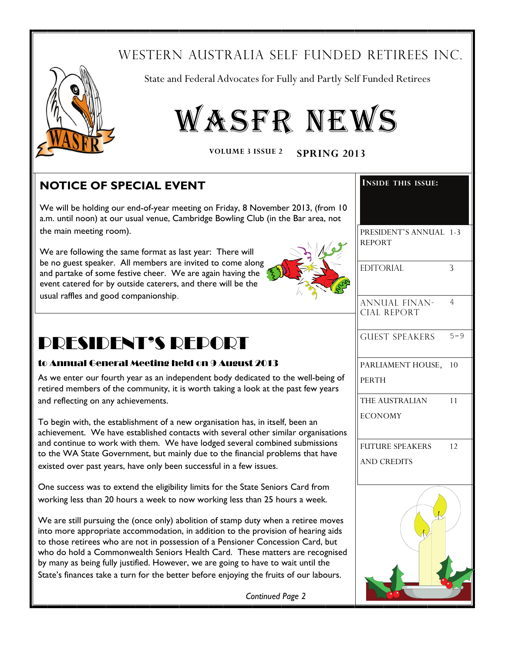# WESTERN AUSTRALIA SELF FUNDED RETIREES INC.



ī

State and Federal Advocates for Fully and Partly Self Funded Retirees



VOLUME 3 ISSUE 2 SPRING 2013

# **NOTICE OF SPECIAL EVENT**

We will be holding our end-of-year meeting on Friday, 8 November 2013, (from 10 a.m. until noon) at our usual venue, Cambridge Bowling Club (in the Bar area, not the main meeting room).

We are following the same format as last year: There will be no guest speaker. All members are invited to come along and partake of some festive cheer. We are again having the event catered for by outside caterers, and there will be the

usual raffles and good companionship.



# PRESIDENT'S REPORT

### to Annual General Meeting held on 9 August 2013

As we enter our fourth year as an independent body dedicated to the well-being of retired members of the community, it is worth taking a look at the past few years and reflecting on any achievements.

To begin with, the establishment of a new organisation has, in itself, been an achievement. We have established contacts with several other similar organisations and continue to work with them. We have lodged several combined submissions to the WA State Government, but mainly due to the financial problems that have existed over past years, have only been successful in a few issues.

One success was to extend the eligibility limits for the State Seniors Card from working less than 20 hours a week to now working less than 25 hours a week.

We are still pursuing the (once only) abolition of stamp duty when a retiree moves into more appropriate accommodation, in addition to the provision of hearing aids to those retirees who are not in possession of a Pensioner Concession Card, but who do hold a Commonwealth Seniors Health Card. These matters are recognised by many as being fully justified. However, we are going to have to wait until the State's finances take a turn for the better before enjoying the fruits of our labours.

*Continued Page 2*

| <b>INSIDE THIS ISSUE:</b>                    |         |
|----------------------------------------------|---------|
| PRESIDENT'S ANNUAL 1-3<br><b>REPORT</b>      |         |
| <b>EDITORIAL</b>                             | 3       |
| <b>ANNUAL FINAN-</b><br><b>CIAL REPORT</b>   | 4       |
| <b>GUEST SPEAKERS</b>                        | $5 - 9$ |
| PARLIAMENT HOUSE, 10<br><b>PERTH</b>         |         |
| THE AUSTRALIAN<br><b>ECONOMY</b>             | 11      |
| <b>FUTURE SPEAKERS</b><br><b>AND CREDITS</b> | 12      |
|                                              |         |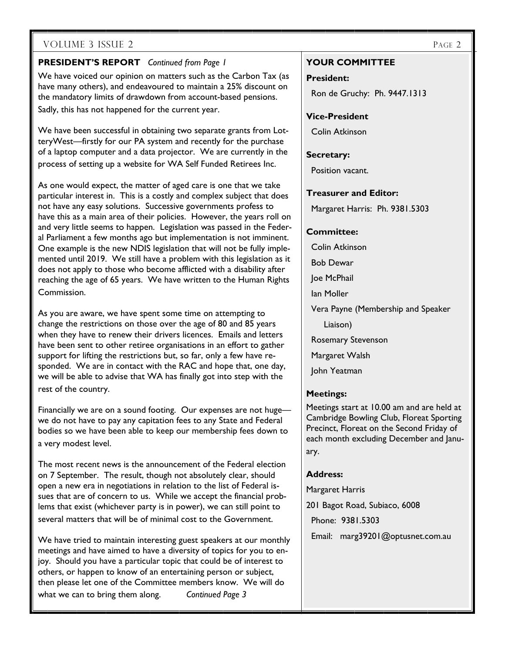### **PRESIDENT'S REPORT** *Continued from Page 1*

We have voiced our opinion on matters such as the Carbon Tax (as have many others), and endeavoured to maintain a 25% discount on the mandatory limits of drawdown from account-based pensions. Sadly, this has not happened for the current year.

We have been successful in obtaining two separate grants from LotteryWest—firstly for our PA system and recently for the purchase of a laptop computer and a data projector. We are currently in the process of setting up a website for WA Self Funded Retirees Inc.

As one would expect, the matter of aged care is one that we take particular interest in. This is a costly and complex subject that does not have any easy solutions. Successive governments profess to have this as a main area of their policies. However, the years roll on and very little seems to happen. Legislation was passed in the Federal Parliament a few months ago but implementation is not imminent. One example is the new NDIS legislation that will not be fully implemented until 2019. We still have a problem with this legislation as it does not apply to those who become afflicted with a disability after reaching the age of 65 years. We have written to the Human Rights Commission.

As you are aware, we have spent some time on attempting to change the restrictions on those over the age of 80 and 85 years when they have to renew their drivers licences. Emails and letters have been sent to other retiree organisations in an effort to gather support for lifting the restrictions but, so far, only a few have responded. We are in contact with the RAC and hope that, one day, we will be able to advise that WA has finally got into step with the rest of the country.

Financially we are on a sound footing. Our expenses are not huge we do not have to pay any capitation fees to any State and Federal bodies so we have been able to keep our membership fees down to a very modest level.

The most recent news is the announcement of the Federal election on 7 September. The result, though not absolutely clear, should open a new era in negotiations in relation to the list of Federal issues that are of concern to us. While we accept the financial problems that exist (whichever party is in power), we can still point to several matters that will be of minimal cost to the Government.

We have tried to maintain interesting guest speakers at our monthly meetings and have aimed to have a diversity of topics for you to enjoy. Should you have a particular topic that could be of interest to others, or happen to know of an entertaining person or subject, then please let one of the Committee members know. We will do

what we can to bring them along. *Continued Page 3* 

**YOUR COMMITTEE** 

**President:** 

Ron de Gruchy: Ph. 9447.1313

**Vice-President** 

Colin Atkinson

### **Secretary:**

Position vacant.

### **Treasurer and Editor:**

Margaret Harris: Ph. 9381.5303

### **Committee:**

Colin Atkinson

Bob Dewar

Joe McPhail

Ian Moller

Vera Payne (Membership and Speaker

Liaison)

Rosemary Stevenson

Margaret Walsh

John Yeatman

### **Meetings:**

Meetings start at 10.00 am and are held at Cambridge Bowling Club, Floreat Sporting Precinct, Floreat on the Second Friday of each month excluding December and January.

### **Address:**

Margaret Harris

201 Bagot Road, Subiaco, 6008

Phone: 9381.5303

Email: marg39201@optusnet.com.au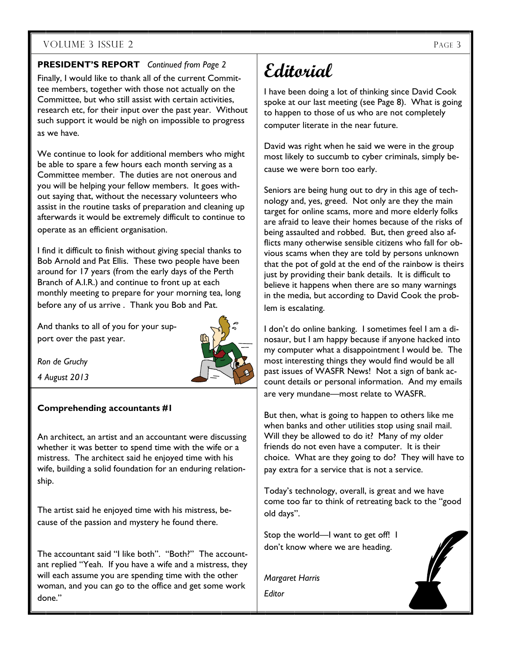### **PRESIDENT'S REPORT** *Continued from Page 2*

Finally, I would like to thank all of the current Committee members, together with those not actually on the Committee, but who still assist with certain activities, research etc, for their input over the past year. Without such support it would be nigh on impossible to progress as we have.

We continue to look for additional members who might be able to spare a few hours each month serving as a Committee member. The duties are not onerous and you will be helping your fellow members. It goes without saying that, without the necessary volunteers who assist in the routine tasks of preparation and cleaning up afterwards it would be extremely difficult to continue to operate as an efficient organisation.

I find it difficult to finish without giving special thanks to Bob Arnold and Pat Ellis. These two people have been around for 17 years (from the early days of the Perth Branch of A.I.R.) and continue to front up at each monthly meeting to prepare for your morning tea, long before any of us arrive . Thank you Bob and Pat.

And thanks to all of you for your support over the past year.



*Ron de Gruchy* 

*4 August 2013* 

### **Comprehending accountants #1**

An architect, an artist and an accountant were discussing whether it was better to spend time with the wife or a mistress. The architect said he enjoyed time with his wife, building a solid foundation for an enduring relationship.

The artist said he enjoyed time with his mistress, because of the passion and mystery he found there.

The accountant said "I like both". "Both?" The accountant replied "Yeah. If you have a wife and a mistress, they will each assume you are spending time with the other woman, and you can go to the office and get some work done."

# **Editorial**

I have been doing a lot of thinking since David Cook spoke at our last meeting (see Page 8). What is going to happen to those of us who are not completely computer literate in the near future.

David was right when he said we were in the group most likely to succumb to cyber criminals, simply because we were born too early.

Seniors are being hung out to dry in this age of technology and, yes, greed. Not only are they the main target for online scams, more and more elderly folks are afraid to leave their homes because of the risks of being assaulted and robbed. But, then greed also afflicts many otherwise sensible citizens who fall for obvious scams when they are told by persons unknown that the pot of gold at the end of the rainbow is theirs just by providing their bank details. It is difficult to believe it happens when there are so many warnings in the media, but according to David Cook the problem is escalating.

I don't do online banking. I sometimes feel I am a dinosaur, but I am happy because if anyone hacked into my computer what a disappointment I would be. The most interesting things they would find would be all past issues of WASFR News! Not a sign of bank account details or personal information. And my emails are very mundane—most relate to WASFR.

But then, what is going to happen to others like me when banks and other utilities stop using snail mail. Will they be allowed to do it? Many of my older friends do not even have a computer. It is their choice. What are they going to do? They will have to pay extra for a service that is not a service.

Today's technology, overall, is great and we have come too far to think of retreating back to the "good old days".

Stop the world—I want to get off! I don't know where we are heading.

*Margaret Harris Editor* 

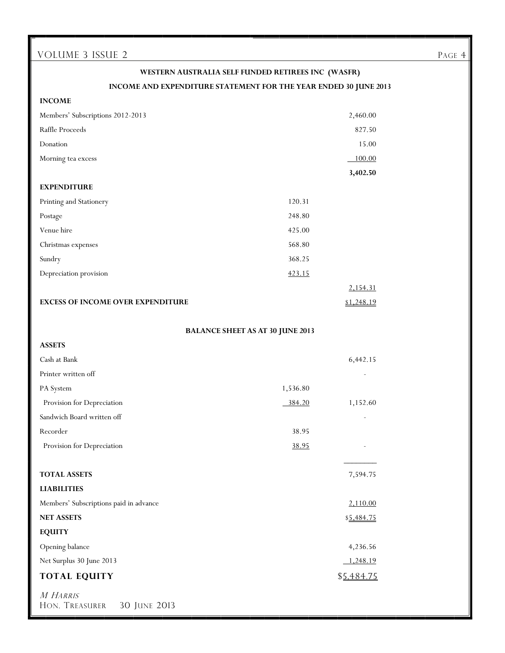# **WESTERN AUSTRALIA SELF FUNDED RETIREES INC (WASFR) INCOME AND EXPENDITURE STATEMENT FOR THE YEAR ENDED 30 JUNE 2013 INCOME**  Members' Subscriptions 2012-2013 2,460.00 Raffle Proceeds 827.50 **Donation** 15.00 Morning tea excess 100.00  **3,402.50 EXPENDITURE**  Printing and Stationery 120.31 Postage 248.80 Venue hire 425.00 Christmas expenses 568.80 Sundry 368.25 Depreciation provision  $\frac{423.15}{2}$ 2,154.31 **EXCESS OF INCOME OVER EXPENDITURE** \$1,248.19 **BALANCE SHEET AS AT 30 JUNE 2013 ASSETS**  Cash at Bank 6,442.15 Printer written off PA System 1,536.80 Provision for Depreciation 384.20 1,152.60 Sandwich Board written off Recorder 38.95 Provision for Depreciation 38.95 \_\_\_\_\_\_\_\_ **TOTAL ASSETS** 7,594.75 **LIABILITIES**  Members' Subscriptions paid in advance 2,110.00 **NET ASSETS** \$5,484.75 **EQUITY**  Opening balance 4,236.56 Net Surplus 30 June 2013 1,248.19 **TOTAL EQUITY** \$5,484.75 M HARRIS HON. TREASURER 30 JUNE 2013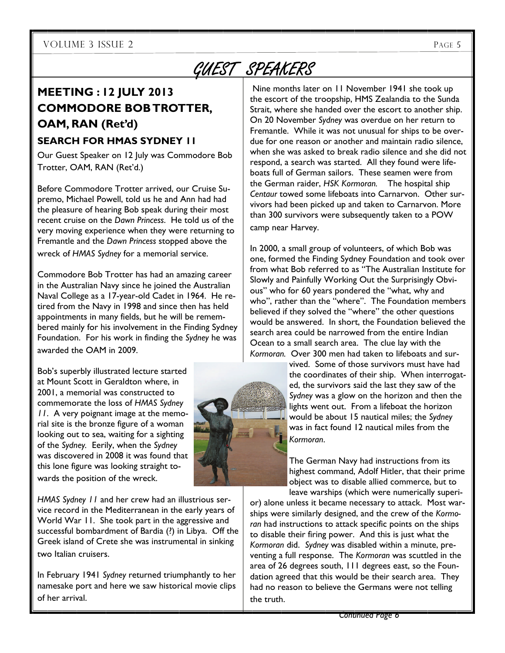# GUEST SPEAKERS

# **MEETING : 12 JULY 2013 COMMODORE BOB TROTTER, OAM, RAN (Ret'd)**

### **SEARCH FOR HMAS SYDNEY 11**

Our Guest Speaker on 12 July was Commodore Bob Trotter, OAM, RAN (Ret'd.)

Before Commodore Trotter arrived, our Cruise Supremo, Michael Powell, told us he and Ann had had the pleasure of hearing Bob speak during their most recent cruise on the *Dawn Princess*. He told us of the very moving experience when they were returning to Fremantle and the *Dawn Princess* stopped above the wreck of *HMAS Sydney* for a memorial service.

Commodore Bob Trotter has had an amazing career in the Australian Navy since he joined the Australian Naval College as a 17-year-old Cadet in 1964. He retired from the Navy in 1998 and since then has held appointments in many fields, but he will be remembered mainly for his involvement in the Finding Sydney Foundation. For his work in finding the *Sydney* he was awarded the OAM in 2009.

Bob's superbly illustrated lecture started at Mount Scott in Geraldton where, in 2001, a memorial was constructed to commemorate the loss of *HMAS Sydney 11*. A very poignant image at the memorial site is the bronze figure of a woman looking out to sea, waiting for a sighting of the *Sydney.* Eerily, when the *Sydney*  was discovered in 2008 it was found that this lone figure was looking straight towards the position of the wreck.

*HMAS Sydney 11* and her crew had an illustrious service record in the Mediterranean in the early years of World War 11. She took part in the aggressive and successful bombardment of Bardia (?) in Libya. Off the Greek island of Crete she was instrumental in sinking two Italian cruisers.

In February 1941 *Sydney* returned triumphantly to her namesake port and here we saw historical movie clips of her arrival.

 Nine months later on 11 November 1941 she took up the escort of the troopship, HMS Zealandia to the Sunda Strait, where she handed over the escort to another ship. On 20 November *Sydney* was overdue on her return to Fremantle. While it was not unusual for ships to be overdue for one reason or another and maintain radio silence, when she was asked to break radio silence and she did not respond, a search was started. All they found were lifeboats full of German sailors. These seamen were from the German raider, *HSK Kormoran.* The hospital ship *Centaur* towed some lifeboats into Carnarvon. Other survivors had been picked up and taken to Carnarvon. More than 300 survivors were subsequently taken to a POW camp near Harvey.

In 2000, a small group of volunteers, of which Bob was one, formed the Finding Sydney Foundation and took over from what Bob referred to as "The Australian Institute for Slowly and Painfully Working Out the Surprisingly Obvious" who for 60 years pondered the "what, why and who", rather than the "where". The Foundation members believed if they solved the "where" the other questions would be answered. In short, the Foundation believed the search area could be narrowed from the entire Indian Ocean to a small search area. The clue lay with the *Kormoran.* Over 300 men had taken to lifeboats and sur-

vived. Some of those survivors must have had the coordinates of their ship. When interrogated, the survivors said the last they saw of the *Sydney* was a glow on the horizon and then the lights went out. From a lifeboat the horizon would be about 15 nautical miles; the *Sydney* was in fact found 12 nautical miles from the *Kormoran*.

The German Navy had instructions from its highest command, Adolf Hitler, that their prime object was to disable allied commerce, but to leave warships (which were numerically superi-

or) alone unless it became necessary to attack. Most warships were similarly designed, and the crew of the *Kormoran* had instructions to attack specific points on the ships to disable their firing power. And this is just what the *Kormoran* did. *Sydney* was disabled within a minute, preventing a full response. The *Kormoran* was scuttled in the area of 26 degrees south, 111 degrees east, so the Foundation agreed that this would be their search area. They had no reason to believe the Germans were not telling the truth.

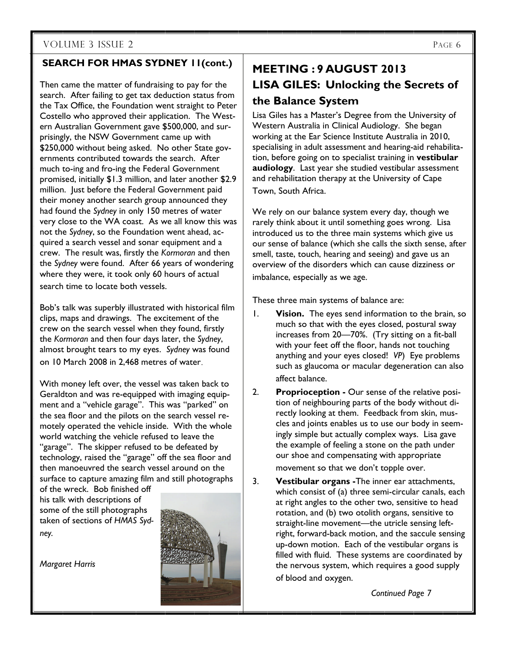### **SEARCH FOR HMAS SYDNEY 11(cont.)**

Then came the matter of fundraising to pay for the search. After failing to get tax deduction status from the Tax Office, the Foundation went straight to Peter Costello who approved their application. The Western Australian Government gave \$500,000, and surprisingly, the NSW Government came up with \$250,000 without being asked. No other State governments contributed towards the search. After much to-ing and fro-ing the Federal Government promised, initially \$1.3 million, and later another \$2.9 million. Just before the Federal Government paid their money another search group announced they had found the *Sydney* in only 150 metres of water very close to the WA coast. As we all know this was not the *Sydney*, so the Foundation went ahead, acquired a search vessel and sonar equipment and a crew. The result was, firstly the *Kormoran* and then the *Sydney* were found. After 66 years of wondering where they were, it took only 60 hours of actual search time to locate both vessels.

Bob's talk was superbly illustrated with historical film clips, maps and drawings. The excitement of the crew on the search vessel when they found, firstly the *Kormoran* and then four days later, the *Sydney*, almost brought tears to my eyes. *Sydney* was found on 10 March 2008 in 2,468 metres of water.

With money left over, the vessel was taken back to Geraldton and was re-equipped with imaging equipment and a "vehicle garage". This was "parked" on the sea floor and the pilots on the search vessel remotely operated the vehicle inside. With the whole world watching the vehicle refused to leave the "garage". The skipper refused to be defeated by technology, raised the "garage" off the sea floor and then manoeuvred the search vessel around on the surface to capture amazing film and still photographs

of the wreck. Bob finished off his talk with descriptions of some of the still photographs taken of sections of *HMAS Sydney.* 

*Margaret Harris* 



# **MEETING : 9 AUGUST 2013 LISA GILES: Unlocking the Secrets of the Balance System**

Lisa Giles has a Master's Degree from the University of Western Australia in Clinical Audiology. She began working at the Ear Science Institute Australia in 2010, specialising in adult assessment and hearing-aid rehabilitation, before going on to specialist training in **vestibular audiology**. Last year she studied vestibular assessment and rehabilitation therapy at the University of Cape

Town, South Africa.

We rely on our balance system every day, though we rarely think about it until something goes wrong. Lisa introduced us to the three main systems which give us our sense of balance (which she calls the sixth sense, after smell, taste, touch, hearing and seeing) and gave us an overview of the disorders which can cause dizziness or imbalance, especially as we age.

These three main systems of balance are:

- 1. **Vision.** The eyes send information to the brain, so much so that with the eyes closed, postural sway increases from 20—70%. (Try sitting on a fit-ball with your feet off the floor, hands not touching anything and your eyes closed! *VP*) Eye problems such as glaucoma or macular degeneration can also affect balance.
- 2. **Proprioception** Our sense of the relative position of neighbouring parts of the body without directly looking at them. Feedback from skin, muscles and joints enables us to use our body in seemingly simple but actually complex ways. Lisa gave the example of feeling a stone on the path under our shoe and compensating with appropriate movement so that we don't topple over.
- 3. **Vestibular organs -**The inner ear attachments, which consist of (a) three semi-circular canals, each at right angles to the other two, sensitive to head rotation, and (b) two otolith organs, sensitive to straight-line movement—the utricle sensing leftright, forward-back motion, and the saccule sensing up-down motion. Each of the vestibular organs is filled with fluid. These systems are coordinated by the nervous system, which requires a good supply of blood and oxygen.

*Continued Page 7*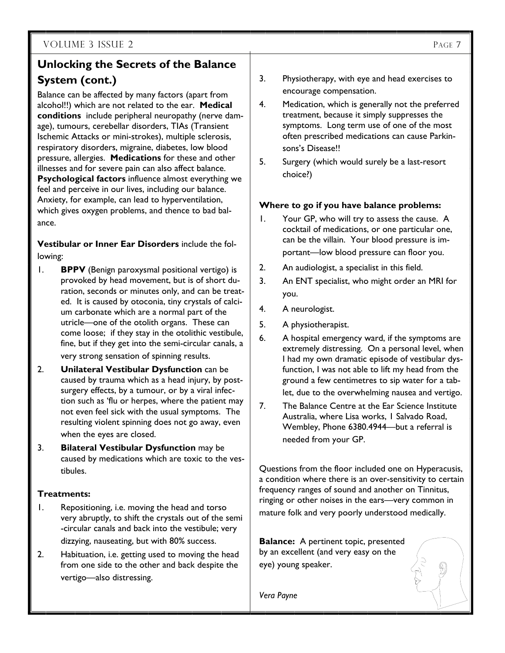# **Unlocking the Secrets of the Balance System (cont.)**

Balance can be affected by many factors (apart from alcohol!!) which are not related to the ear. **Medical conditions** include peripheral neuropathy (nerve damage), tumours, cerebellar disorders, TIAs (Transient Ischemic Attacks or mini-strokes), multiple sclerosis, respiratory disorders, migraine, diabetes, low blood pressure, allergies. **Medications** for these and other illnesses and for severe pain can also affect balance. **Psychological factors** influence almost everything we feel and perceive in our lives, including our balance. Anxiety, for example, can lead to hyperventilation, which gives oxygen problems, and thence to bad balance.

**Vestibular or Inner Ear Disorders** include the following:

- 1. **BPPV** (Benign paroxysmal positional vertigo) is provoked by head movement, but is of short duration, seconds or minutes only, and can be treated. It is caused by otoconia, tiny crystals of calcium carbonate which are a normal part of the utricle—one of the otolith organs. These can come loose; if they stay in the otolithic vestibule, fine, but if they get into the semi-circular canals, a very strong sensation of spinning results.
- 2. **Unilateral Vestibular Dysfunction** can be caused by trauma which as a head injury, by postsurgery effects, by a tumour, or by a viral infection such as 'flu or herpes, where the patient may not even feel sick with the usual symptoms. The resulting violent spinning does not go away, even when the eyes are closed.
- 3. **Bilateral Vestibular Dysfunction** may be caused by medications which are toxic to the vestibules.

### **Treatments:**

- 1. Repositioning, i.e. moving the head and torso very abruptly, to shift the crystals out of the semi -circular canals and back into the vestibule; very dizzying, nauseating, but with 80% success.
- 2. Habituation, i.e. getting used to moving the head from one side to the other and back despite the vertigo—also distressing.
- 3. Physiotherapy, with eye and head exercises to encourage compensation.
- 4. Medication, which is generally not the preferred treatment, because it simply suppresses the symptoms. Long term use of one of the most often prescribed medications can cause Parkinsons's Disease!!
- 5. Surgery (which would surely be a last-resort choice?)

### **Where to go if you have balance problems:**

- 1. Your GP, who will try to assess the cause. A cocktail of medications, or one particular one, can be the villain. Your blood pressure is important—low blood pressure can floor you.
- 2. An audiologist, a specialist in this field.
- 3. An ENT specialist, who might order an MRI for you.
- 4. A neurologist.
- 5. A physiotherapist.
- 6. A hospital emergency ward, if the symptoms are extremely distressing. On a personal level, when I had my own dramatic episode of vestibular dysfunction, I was not able to lift my head from the ground a few centimetres to sip water for a tablet, due to the overwhelming nausea and vertigo.
- 7. The Balance Centre at the Ear Science Institute Australia, where Lisa works, 1 Salvado Road, Wembley, Phone 6380.4944—but a referral is needed from your GP.

Questions from the floor included one on Hyperacusis, a condition where there is an over-sensitivity to certain frequency ranges of sound and another on Tinnitus, ringing or other noises in the ears—very common in mature folk and very poorly understood medically.

**Balance:** A pertinent topic, presented by an excellent (and very easy on the eye) young speaker.

*Vera Payne*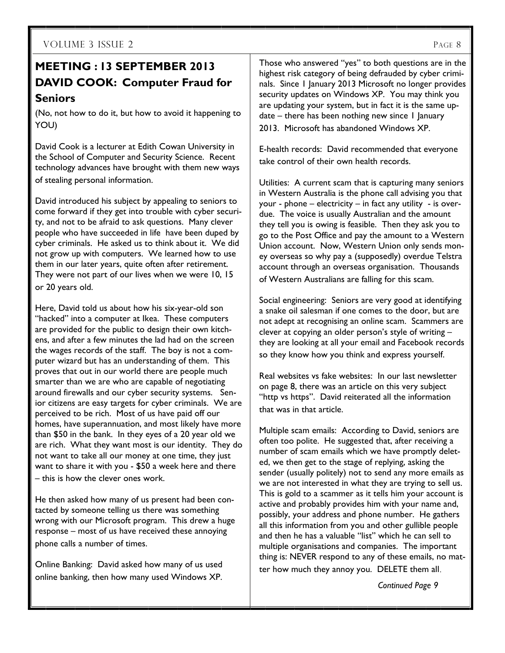# **MEETING : 13 SEPTEMBER 2013 DAVID COOK: Computer Fraud for Seniors**

(No, not how to do it, but how to avoid it happening to YOU)

David Cook is a lecturer at Edith Cowan University in the School of Computer and Security Science. Recent technology advances have brought with them new ways of stealing personal information.

David introduced his subject by appealing to seniors to come forward if they get into trouble with cyber security, and not to be afraid to ask questions. Many clever people who have succeeded in life have been duped by cyber criminals. He asked us to think about it. We did not grow up with computers. We learned how to use them in our later years, quite often after retirement. They were not part of our lives when we were 10, 15 or 20 years old.

Here, David told us about how his six-year-old son "hacked" into a computer at Ikea. These computers are provided for the public to design their own kitchens, and after a few minutes the lad had on the screen the wages records of the staff. The boy is not a computer wizard but has an understanding of them. This proves that out in our world there are people much smarter than we are who are capable of negotiating around firewalls and our cyber security systems. Senior citizens are easy targets for cyber criminals. We are perceived to be rich. Most of us have paid off our homes, have superannuation, and most likely have more than \$50 in the bank. In they eyes of a 20 year old we are rich. What they want most is our identity. They do not want to take all our money at one time, they just want to share it with you - \$50 a week here and there – this is how the clever ones work.

He then asked how many of us present had been contacted by someone telling us there was something wrong with our Microsoft program. This drew a huge response – most of us have received these annoying phone calls a number of times.

Online Banking: David asked how many of us used online banking, then how many used Windows XP.

Those who answered "yes" to both questions are in the highest risk category of being defrauded by cyber criminals. Since 1 January 2013 Microsoft no longer provides security updates on Windows XP. You may think you are updating your system, but in fact it is the same update – there has been nothing new since 1 January 2013. Microsoft has abandoned Windows XP.

E-health records: David recommended that everyone take control of their own health records.

Utilities: A current scam that is capturing many seniors in Western Australia is the phone call advising you that your - phone – electricity – in fact any utility - is overdue. The voice is usually Australian and the amount they tell you is owing is feasible. Then they ask you to go to the Post Office and pay the amount to a Western Union account. Now, Western Union only sends money overseas so why pay a (supposedly) overdue Telstra account through an overseas organisation. Thousands of Western Australians are falling for this scam.

Social engineering: Seniors are very good at identifying a snake oil salesman if one comes to the door, but are not adept at recognising an online scam. Scammers are clever at copying an older person's style of writing – they are looking at all your email and Facebook records so they know how you think and express yourself.

Real websites vs fake websites: In our last newsletter on page 8, there was an article on this very subject "http vs https". David reiterated all the information that was in that article.

Multiple scam emails: According to David, seniors are often too polite. He suggested that, after receiving a number of scam emails which we have promptly deleted, we then get to the stage of replying, asking the sender (usually politely) not to send any more emails as we are not interested in what they are trying to sell us. This is gold to a scammer as it tells him your account is active and probably provides him with your name and, possibly, your address and phone number. He gathers all this information from you and other gullible people and then he has a valuable "list" which he can sell to multiple organisations and companies. The important thing is: NEVER respond to any of these emails, no matter how much they annoy you. DELETE them all.

*Continued Page 9*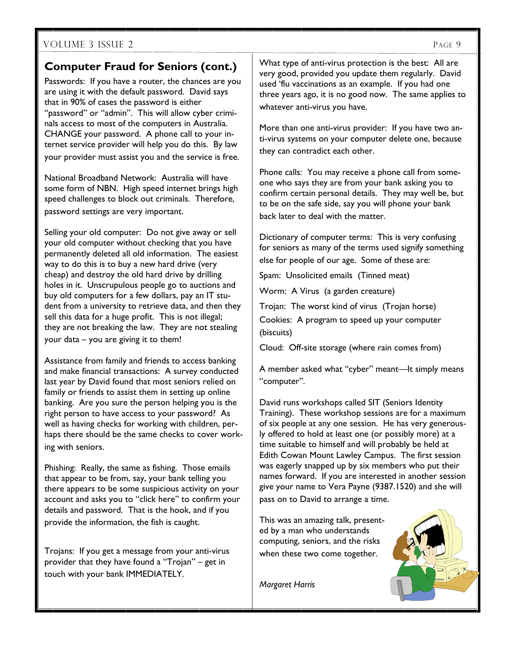## **Computer Fraud for Seniors (cont.)**

Passwords: If you have a router, the chances are you are using it with the default password. David says that in 90% of cases the password is either "password" or "admin". This will allow cyber criminals access to most of the computers in Australia. CHANGE your password. A phone call to your internet service provider will help you do this. By law your provider must assist you and the service is free.

National Broadband Network: Australia will have some form of NBN. High speed internet brings high speed challenges to block out criminals. Therefore, password settings are very important.

Selling your old computer: Do not give away or sell your old computer without checking that you have permanently deleted all old information. The easiest way to do this is to buy a new hard drive (very cheap) and destroy the old hard drive by drilling holes in it. Unscrupulous people go to auctions and buy old computers for a few dollars, pay an IT student from a university to retrieve data, and then they sell this data for a huge profit. This is not illegal; they are not breaking the law. They are not stealing your data – you are giving it to them!

Assistance from family and friends to access banking and make financial transactions: A survey conducted last year by David found that most seniors relied on family or friends to assist them in setting up online banking. Are you sure the person helping you is the right person to have access to your password? As well as having checks for working with children, perhaps there should be the same checks to cover working with seniors.

Phishing: Really, the same as fishing. Those emails that appear to be from, say, your bank telling you there appears to be some suspicious activity on your account and asks you to "click here" to confirm your details and password. That is the hook, and if you provide the information, the fish is caught.

Trojans: If you get a message from your anti-virus provider that they have found a "Trojan" – get in touch with your bank IMMEDIATELY.

What type of anti-virus protection is the best: All are very good, provided you update them regularly. David used 'flu vaccinations as an example. If you had one three years ago, it is no good now. The same applies to whatever anti-virus you have.

More than one anti-virus provider: If you have two anti-virus systems on your computer delete one, because they can contradict each other.

Phone calls: You may receive a phone call from someone who says they are from your bank asking you to confirm certain personal details. They may well be, but to be on the safe side, say you will phone your bank back later to deal with the matter.

Dictionary of computer terms: This is very confusing for seniors as many of the terms used signify something else for people of our age. Some of these are:

Spam: Unsolicited emails (Tinned meat)

Worm: A Virus (a garden creature)

Trojan: The worst kind of virus (Trojan horse) Cookies: A program to speed up your computer (biscuits)

Cloud: Off-site storage (where rain comes from)

A member asked what "cyber" meant—It simply means "computer".

David runs workshops called SIT (Seniors Identity Training). These workshop sessions are for a maximum of six people at any one session. He has very generously offered to hold at least one (or possibly more) at a time suitable to himself and will probably be held at Edith Cowan Mount Lawley Campus. The first session was eagerly snapped up by six members who put their names forward. If you are interested in another session give your name to Vera Payne (9387.1520) and she will pass on to David to arrange a time.

This was an amazing talk, presented by a man who understands computing, seniors, and the risks when these two come together.

*Margaret Harris* 

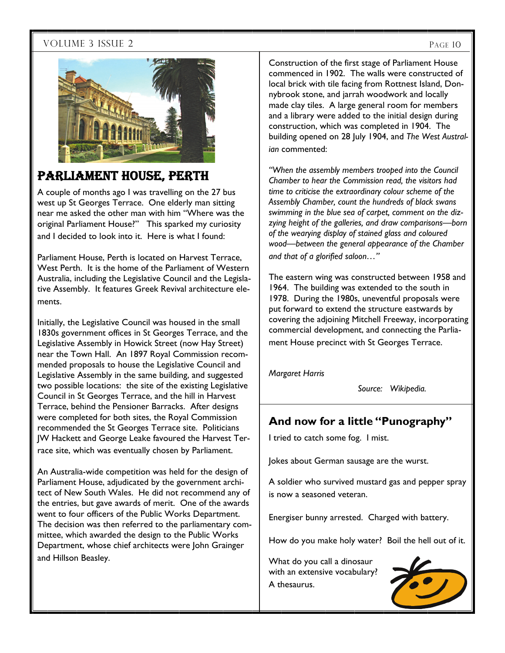

# PARLIAMENT HOUSE, PERTH

A couple of months ago I was travelling on the 27 bus west up St Georges Terrace. One elderly man sitting near me asked the other man with him "Where was the original Parliament House?" This sparked my curiosity and I decided to look into it. Here is what I found:

Parliament House, Perth is located on Harvest Terrace, West Perth. It is the home of the Parliament of Western Australia, including the Legislative Council and the Legislative Assembly. It features Greek Revival architecture elements.

Initially, the Legislative Council was housed in the small 1830s government offices in St Georges Terrace, and the Legislative Assembly in Howick Street (now Hay Street) near the Town Hall. An 1897 Royal Commission recommended proposals to house the Legislative Council and Legislative Assembly in the same building, and suggested two possible locations: the site of the existing Legislative Council in St Georges Terrace, and the hill in Harvest Terrace, behind the Pensioner Barracks. After designs were completed for both sites, the Royal Commission recommended the St Georges Terrace site. Politicians JW Hackett and George Leake favoured the Harvest Terrace site, which was eventually chosen by Parliament.

An Australia-wide competition was held for the design of Parliament House, adjudicated by the government architect of New South Wales. He did not recommend any of the entries, but gave awards of merit. One of the awards went to four officers of the Public Works Department. The decision was then referred to the parliamentary committee, which awarded the design to the Public Works Department, whose chief architects were John Grainger and Hillson Beasley.

Construction of the first stage of Parliament House commenced in 1902. The walls were constructed of local brick with tile facing from Rottnest Island, Donnybrook stone, and jarrah woodwork and locally made clay tiles. A large general room for members and a library were added to the initial design during construction, which was completed in 1904. The building opened on 28 July 1904, and *The West Australian* commented:

*"When the assembly members trooped into the Council Chamber to hear the Commission read, the visitors had time to criticise the extraordinary colour scheme of the Assembly Chamber, count the hundreds of black swans swimming in the blue sea of carpet, comment on the dizzying height of the galleries, and draw comparisons—born of the wearying display of stained glass and coloured wood—between the general appearance of the Chamber and that of a glorified saloon…"* 

The eastern wing was constructed between 1958 and 1964. The building was extended to the south in 1978. During the 1980s, uneventful proposals were put forward to extend the structure eastwards by covering the adjoining Mitchell Freeway, incorporating commercial development, and connecting the Parliament House precinct with St Georges Terrace.

*Margaret Harris* 

*Source: Wikipedia.* 

## **And now for a little "Punography"**

I tried to catch some fog. I mist.

Jokes about German sausage are the wurst.

A soldier who survived mustard gas and pepper spray is now a seasoned veteran.

Energiser bunny arrested. Charged with battery.

How do you make holy water? Boil the hell out of it.

What do you call a dinosaur with an extensive vocabulary? A thesaurus.

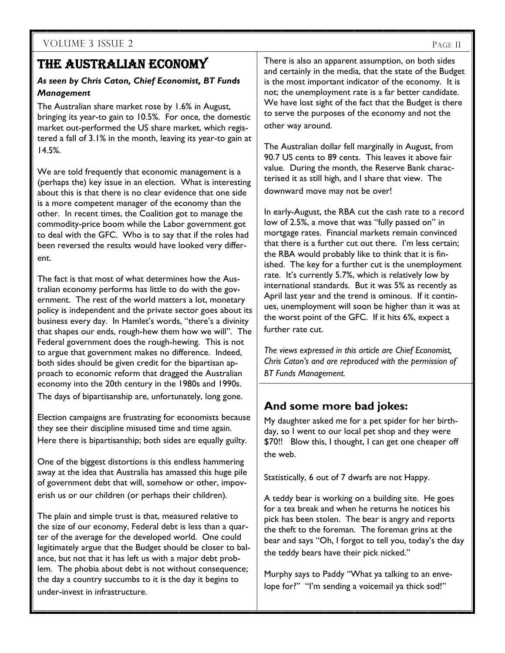# THE AUSTRALIAN ECONOMY

### *As seen by Chris Caton, Chief Economist, BT Funds Management*

The Australian share market rose by 1.6% in August, bringing its year-to gain to 10.5%. For once, the domestic market out-performed the US share market, which registered a fall of 3.1% in the month, leaving its year-to gain at 14.5%.

We are told frequently that economic management is a (perhaps the) key issue in an election. What is interesting about this is that there is no clear evidence that one side is a more competent manager of the economy than the other. In recent times, the Coalition got to manage the commodity-price boom while the Labor government got to deal with the GFC. Who is to say that if the roles had been reversed the results would have looked very different.

The fact is that most of what determines how the Australian economy performs has little to do with the government. The rest of the world matters a lot, monetary policy is independent and the private sector goes about its business every day. In Hamlet's words, "there's a divinity that shapes our ends, rough-hew them how we will". The Federal government does the rough-hewing. This is not to argue that government makes no difference. Indeed, both sides should be given credit for the bipartisan approach to economic reform that dragged the Australian economy into the 20th century in the 1980s and 1990s. The days of bipartisanship are, unfortunately, long gone.

Election campaigns are frustrating for economists because they see their discipline misused time and time again. Here there is bipartisanship; both sides are equally guilty.

One of the biggest distortions is this endless hammering away at the idea that Australia has amassed this huge pile of government debt that will, somehow or other, impoverish us or our children (or perhaps their children).

The plain and simple trust is that, measured relative to the size of our economy, Federal debt is less than a quarter of the average for the developed world. One could legitimately argue that the Budget should be closer to balance, but not that it has left us with a major debt problem. The phobia about debt is not without consequence; the day a country succumbs to it is the day it begins to under-invest in infrastructure.

There is also an apparent assumption, on both sides and certainly in the media, that the state of the Budget is the most important indicator of the economy. It is not; the unemployment rate is a far better candidate. We have lost sight of the fact that the Budget is there to serve the purposes of the economy and not the other way around.

The Australian dollar fell marginally in August, from 90.7 US cents to 89 cents. This leaves it above fair value. During the month, the Reserve Bank characterised it as still high, and I share that view. The downward move may not be over!

In early-August, the RBA cut the cash rate to a record low of 2.5%, a move that was "fully passed on" in mortgage rates. Financial markets remain convinced that there is a further cut out there. I'm less certain; the RBA would probably like to think that it is finished. The key for a further cut is the unemployment rate. It's currently 5.7%, which is relatively low by international standards. But it was 5% as recently as April last year and the trend is ominous. If it continues, unemployment will soon be higher than it was at the worst point of the GFC. If it hits 6%, expect a further rate cut.

*The views expressed in this article are Chief Economist, Chris Caton's and are reproduced with the permission of BT Funds Management.* 

## **And some more bad jokes:**

My daughter asked me for a pet spider for her birthday, so I went to our local pet shop and they were \$70!! Blow this, I thought, I can get one cheaper off the web.

Statistically, 6 out of 7 dwarfs are not Happy.

A teddy bear is working on a building site. He goes for a tea break and when he returns he notices his pick has been stolen. The bear is angry and reports the theft to the foreman. The foreman grins at the bear and says "Oh, I forgot to tell you, today's the day the teddy bears have their pick nicked."

Murphy says to Paddy "What ya talking to an envelope for?" "I'm sending a voicemail ya thick sod!"